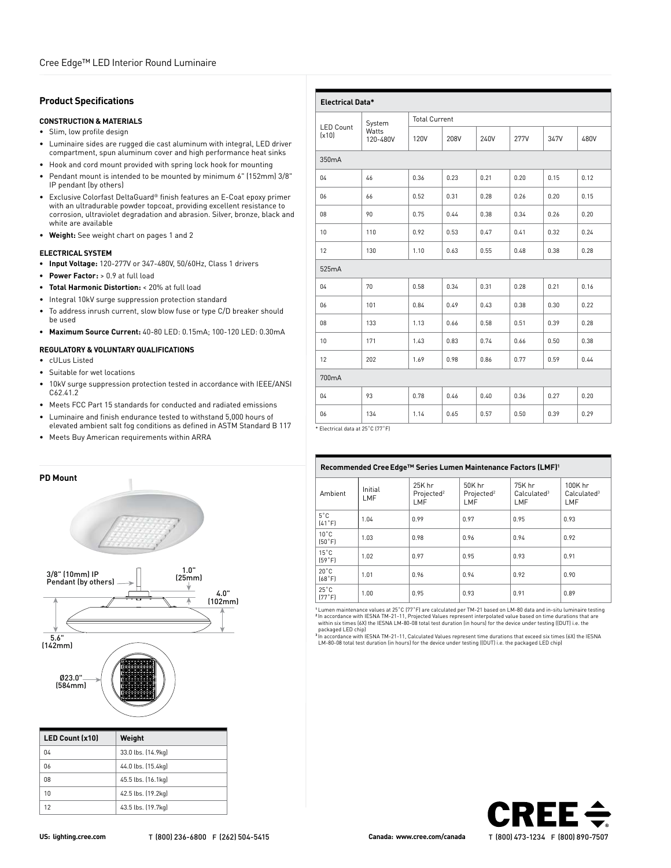## **Product Specifications**

### **CONSTRUCTION & MATERIALS**

- Slim, low profile design
- Luminaire sides are rugged die cast aluminum with integral, LED driver compartment, spun aluminum cover and high performance heat sinks
- Hook and cord mount provided with spring lock hook for mounting
- Pendant mount is intended to be mounted by minimum 6" (152mm) 3/8" IP pendant (by others)
- Exclusive Colorfast DeltaGuard® finish features an E-Coat epoxy primer with an ultradurable powder topcoat, providing excellent resistance to corrosion, ultraviolet degradation and abrasion. Silver, bronze, black and white are available
- **Weight:** See weight chart on pages 1 and 2

### **ELECTRICAL SYSTEM**

- **• Input Voltage:** 120-277V or 347-480V, 50/60Hz, Class 1 drivers
- **• Power Factor:** > 0.9 at full load
- **• Total Harmonic Distortion:** < 20% at full load
- Integral 10kV surge suppression protection standard
- To address inrush current, slow blow fuse or type C/D breaker should be used
- **• Maximum Source Current:** 40-80 LED: 0.15mA; 100-120 LED: 0.30mA

#### **REGULATORY & VOLUNTARY QUALIFICATIONS**

- cULus Listed
- Suitable for wet locations
- 10kV surge suppression protection tested in accordance with IEEE/ANSI C62.41.2
- Meets FCC Part 15 standards for conducted and radiated emissions
- Luminaire and finish endurance tested to withstand 5,000 hours of elevated ambient salt fog conditions as defined in ASTM Standard B 117
- Meets Buy American requirements within ARRA





| <b>LED Count (x10)</b> | Weight             |
|------------------------|--------------------|
| 04                     | 33.0 lbs. (14.9kg) |
| 06                     | 44.0 lbs. (15.4kg) |
| 08                     | 45.5 lbs. (16.1kg) |
| 10                     | 42.5 lbs. (19.2kg) |
| 12                     | 43.5 lbs. (19.7kg) |

| <b>Electrical Data*</b>          |                   |             |                      |      |             |      |      |
|----------------------------------|-------------------|-------------|----------------------|------|-------------|------|------|
| <b>LED Count</b>                 | System            |             | <b>Total Current</b> |      |             |      |      |
| (x10)                            | Watts<br>120-480V | <b>120V</b> | 208V                 | 240V | <b>277V</b> | 347V | 480V |
| 350mA                            |                   |             |                      |      |             |      |      |
| 04                               | 46                | 0.36        | 0.23                 | 0.21 | 0.20        | 0.15 | 0.12 |
| 06                               | 66                | 0.52        | 0.31                 | 0.28 | 0.26        | 0.20 | 0.15 |
| 08                               | 90                | 0.75        | 0.44                 | 0.38 | 0.34        | 0.26 | 0.20 |
| 10                               | 110               | 0.92        | 0.53                 | 0.47 | 0.41        | 0.32 | 0.24 |
| 12                               | 130               | 1.10        | 0.63                 | 0.55 | 0.48        | 0.38 | 0.28 |
| 525mA                            |                   |             |                      |      |             |      |      |
| 04                               | 70                | 0.58        | 0.34                 | 0.31 | 0.28        | 0.21 | 0.16 |
| 06                               | 101               | 0.84        | 0.49                 | 0.43 | 0.38        | 0.30 | 0.22 |
| 08                               | 133               | 1.13        | 0.66                 | 0.58 | 0.51        | 0.39 | 0.28 |
| 10                               | 171               | 1.43        | 0.83                 | 0.74 | 0.66        | 0.50 | 0.38 |
| 12                               | 202               | 1.69        | 0.98                 | 0.86 | 0.77        | 0.59 | 0.44 |
| 700mA                            |                   |             |                      |      |             |      |      |
| 04                               | 93                | 0.78        | 0.46                 | 0.40 | 0.36        | 0.27 | 0.20 |
| 06                               | 134               | 1.14        | 0.65                 | 0.57 | 0.50        | 0.39 | 0.29 |
| * Electrical data at 25°C (77°E) |                   |             |                      |      |             |      |      |

\* Electrical data at 25˚C (77˚F)

| Recommended Cree Edge™ Series Lumen Maintenance Factors (LMF) <sup>1</sup> |                |                                         |                                         |                                          |                                           |
|----------------------------------------------------------------------------|----------------|-----------------------------------------|-----------------------------------------|------------------------------------------|-------------------------------------------|
| Ambient                                                                    | Initial<br>LMF | 25K hr<br>Projected <sup>2</sup><br>LMF | 50K hr<br>Projected <sup>2</sup><br>LMF | 75K hr<br>Calculated <sup>3</sup><br>LMF | 100K hr<br>Calculated <sup>3</sup><br>LMF |
| $5^{\circ}$ C<br>[41°F]                                                    | 1.04           | 0.99                                    | 0.97                                    | 0.95                                     | 0.93                                      |
| $10^{\circ}$ C<br>[50°F]                                                   | 1.03           | 0.98                                    | 0.96                                    | 0.94                                     | 0.92                                      |
| $15^{\circ}$ C<br>[59°F]                                                   | 1.02           | 0.97                                    | 0.95                                    | 0.93                                     | 0.91                                      |
| $20^{\circ}$ C<br>[68°F]                                                   | 1.01           | 0.96                                    | 0.94                                    | 0.92                                     | 0.90                                      |
| $25^{\circ}$ C<br>(77°F)                                                   | 1.00           | 0.95                                    | 0.93                                    | 0.91                                     | 0.89                                      |

"Lumen maintenance values at 25°C (77°F) are calculated per TM-21 based on LM-80 data and in-situ luminaire testing<br>\*In accordance with IESNA TM-21-11, Projected Values represent interpolated value based on time durations within six times (6X) the IESNA LM-80-08 total test duration (in hours) for the device under testing ((DUT) i.e. the

packaged LED chip)<br><sup>3</sup> In accordance with IESNA TM-21-11, Calculated Values represent time durations that exceed six times (6X) the IESNA<br>LM-80-08 total test duration (in hours) for the device under testing ([DUT] i.e. the

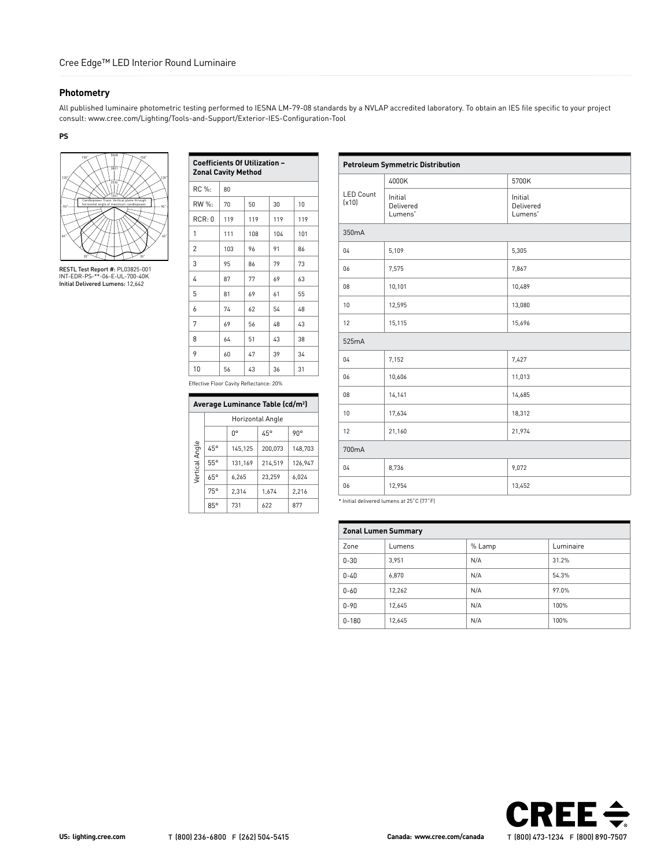# **Photometry**

All published luminaire photometric testing performed to IESNA LM-79-08 standards by a NVLAP accredited laboratory. To obtain an IES file specific to your project consult: www.cree.com/Lighting/Tools-and-Support/Exterior-IES-Configuration-Tool

**PS**



RESTL Test Report #: PL03825-001 INT-EDR-PS-\*\*-06-E-UL-700-40K Initial Delivered Lumens: 12,642

| <b>Coefficients Of Utilization -</b><br><b>Zonal Cavity Method</b> |     |     |     |     |  |
|--------------------------------------------------------------------|-----|-----|-----|-----|--|
| RC %:                                                              | 80  |     |     |     |  |
| RW %:                                                              | 70  | 50  | 30  | 10  |  |
| RCR:0                                                              | 119 | 119 | 119 | 119 |  |
| 1                                                                  | 111 | 108 | 104 | 101 |  |
| $\overline{2}$                                                     | 103 | 96  | 91  | 86  |  |
| 3                                                                  | 95  | 86  | 79  | 73  |  |
| 4                                                                  | 87  | 77  | 69  | 63  |  |
| 5                                                                  | 81  | 69  | 61  | 55  |  |
| 6                                                                  | 74  | 62  | 54  | 48  |  |
| 7                                                                  | 69  | 56  | 48  | 43  |  |
| 8                                                                  | 64  | 51  | 43  | 38  |  |
| 9                                                                  | 60  | 47  | 39  | 34  |  |
| 10                                                                 | 56  | 43  | 36  | 31  |  |

Effective Floor Cavity Reflectance: 20%

|                | Average Luminance Table (cd/m <sup>2</sup> ) |                  |         |         |  |  |  |
|----------------|----------------------------------------------|------------------|---------|---------|--|--|--|
|                |                                              | Horizontal Angle |         |         |  |  |  |
|                | n°<br>45°<br>90°                             |                  |         |         |  |  |  |
| Vertical Angle | 45°                                          | 145.125          | 200.073 | 148,703 |  |  |  |
|                | 55°                                          | 131.169          | 214.519 | 126.947 |  |  |  |
|                | $65^\circ$                                   | 6.265            | 23.259  | 6.024   |  |  |  |
|                | 75°                                          | 2.314            | 1.674   | 2.216   |  |  |  |
|                | 85°                                          | 731              | 622     | 877     |  |  |  |

| <b>Petroleum Symmetric Distribution</b> |                                             |                                             |  |  |
|-----------------------------------------|---------------------------------------------|---------------------------------------------|--|--|
|                                         | 4000K                                       | 5700K                                       |  |  |
| <b>LED Count</b><br>(x10)               | Initial<br>Delivered<br>Lumens <sup>*</sup> | Initial<br>Delivered<br>Lumens <sup>*</sup> |  |  |
| 350 <sub>m</sub> A                      |                                             |                                             |  |  |
| 04                                      | 5,109                                       | 5,305                                       |  |  |
| 06                                      | 7,575                                       | 7,867                                       |  |  |
| 08                                      | 10,101                                      | 10,489                                      |  |  |
| 10                                      | 12,595                                      | 13,080                                      |  |  |
| 12                                      | 15,115                                      | 15,696                                      |  |  |
| 525mA                                   |                                             |                                             |  |  |
| 04                                      | 7,152                                       | 7,427                                       |  |  |
| 06                                      | 10,606                                      | 11,013                                      |  |  |
| 08                                      | 14,141                                      | 14,685                                      |  |  |
| 10                                      | 17,634                                      | 18,312                                      |  |  |
| 12                                      | 21,160                                      | 21,974                                      |  |  |
| 700mA                                   |                                             |                                             |  |  |
| 04                                      | 8,736                                       | 9,072                                       |  |  |
| 06                                      | 12,954                                      | 13,452                                      |  |  |

\* Initial delivered lumens at 25˚C (77˚F)

| <b>Zonal Lumen Summary</b> |        |        |           |  |  |
|----------------------------|--------|--------|-----------|--|--|
| Zone                       | Lumens | % Lamp | Luminaire |  |  |
| $0 - 30$                   | 3,951  | N/A    | 31.2%     |  |  |
| $0 - 40$                   | 6.870  | N/A    | 54.3%     |  |  |
| $0 - 60$                   | 12,262 | N/A    | 97.0%     |  |  |
| $0 - 90$                   | 12,645 | N/A    | 100%      |  |  |
| $0 - 180$                  | 12,645 | N/A    | 100%      |  |  |